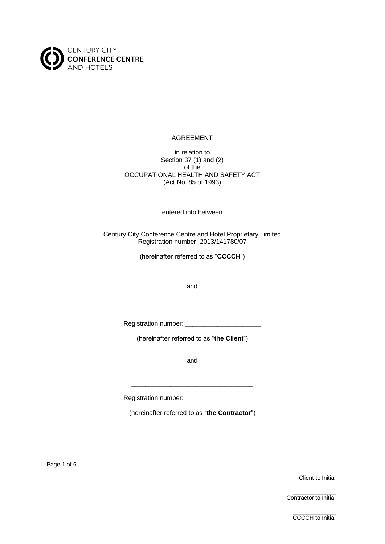

# AGREEMENT

\_\_\_\_\_\_\_\_\_\_\_\_\_\_\_\_\_\_\_\_\_\_\_\_\_\_\_\_\_\_\_\_\_\_\_\_\_\_\_\_\_\_\_\_\_\_\_\_\_\_\_\_\_\_\_\_\_\_\_\_\_\_\_\_\_\_\_\_\_\_\_\_\_\_\_\_\_\_\_\_\_\_\_\_\_\_\_\_\_\_

in relation to Section 37 (1) and (2) of the OCCUPATIONAL HEALTH AND SAFETY ACT (Act No. 85 of 1993)

entered into between

Century City Conference Centre and Hotel Proprietary Limited Registration number: 2013/141780/07

(hereinafter referred to as "**CCCCH**")

and

\_\_\_\_\_\_\_\_\_\_\_\_\_\_\_\_\_\_\_\_\_\_\_\_\_\_\_\_\_\_\_\_\_\_

Registration number: \_\_\_\_\_\_\_\_\_\_\_\_\_\_\_\_\_\_\_\_\_

(hereinafter referred to as "**the Client**")

and

Registration number: \_\_\_\_\_\_\_\_\_\_\_\_

\_\_\_\_\_\_\_\_\_\_\_\_\_\_\_\_\_\_\_\_\_\_\_\_\_\_\_\_\_\_\_\_\_\_

(hereinafter referred to as "**the Contractor**")

Page 1 of 6

\_\_\_\_\_\_\_\_\_\_\_\_\_ Client to Initial

\_\_\_\_\_\_\_\_\_\_\_\_\_ Contractor to Initial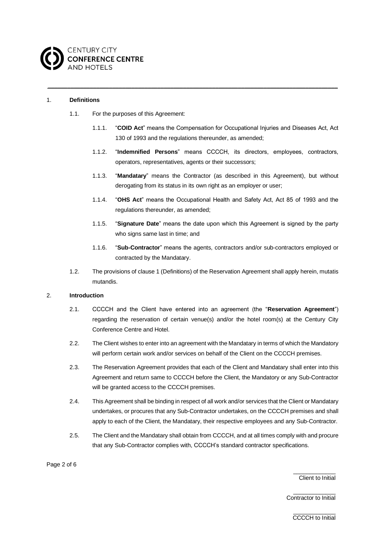

## 1. **Definitions**

- 1.1. For the purposes of this Agreement:
	- 1.1.1. "**COID Act**" means the Compensation for Occupational Injuries and Diseases Act, Act 130 of 1993 and the regulations thereunder, as amended;

\_\_\_\_\_\_\_\_\_\_\_\_\_\_\_\_\_\_\_\_\_\_\_\_\_\_\_\_\_\_\_\_\_\_\_\_\_\_\_\_\_\_\_\_\_\_\_\_\_\_\_\_\_\_\_\_\_\_\_\_\_\_\_\_\_\_\_\_\_\_\_\_\_\_\_\_\_\_\_\_\_\_\_\_\_\_\_\_\_\_

- 1.1.2. "**Indemnified Persons**" means CCCCH, its directors, employees, contractors, operators, representatives, agents or their successors;
- 1.1.3. "**Mandatary**" means the Contractor (as described in this Agreement), but without derogating from its status in its own right as an employer or user;
- 1.1.4. "**OHS Act**" means the Occupational Health and Safety Act, Act 85 of 1993 and the regulations thereunder, as amended;
- 1.1.5. "**Signature Date**" means the date upon which this Agreement is signed by the party who signs same last in time; and
- 1.1.6. "**Sub-Contractor**" means the agents, contractors and/or sub-contractors employed or contracted by the Mandatary.
- 1.2. The provisions of clause 1 (Definitions) of the Reservation Agreement shall apply herein, mutatis mutandis.

# 2. **Introduction**

- 2.1. CCCCH and the Client have entered into an agreement (the "**Reservation Agreement**") regarding the reservation of certain venue(s) and/or the hotel room(s) at the Century City Conference Centre and Hotel.
- 2.2. The Client wishes to enter into an agreement with the Mandatary in terms of which the Mandatory will perform certain work and/or services on behalf of the Client on the CCCCH premises.
- 2.3. The Reservation Agreement provides that each of the Client and Mandatary shall enter into this Agreement and return same to CCCCH before the Client, the Mandatory or any Sub-Contractor will be granted access to the CCCCH premises.
- 2.4. This Agreement shall be binding in respect of all work and/or services that the Client or Mandatary undertakes, or procures that any Sub-Contractor undertakes, on the CCCCH premises and shall apply to each of the Client, the Mandatary, their respective employees and any Sub-Contractor.
- 2.5. The Client and the Mandatary shall obtain from CCCCH, and at all times comply with and procure that any Sub-Contractor complies with, CCCCH's standard contractor specifications.

Page 2 of 6

\_\_\_\_\_\_\_\_\_\_\_\_\_ Client to Initial

\_\_\_\_\_\_\_\_\_\_\_\_\_ Contractor to Initial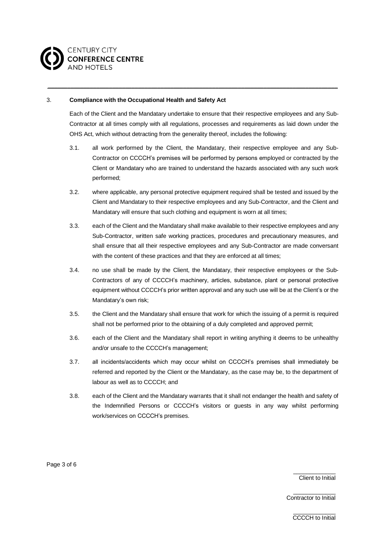

## 3. **Compliance with the Occupational Health and Safety Act**

Each of the Client and the Mandatary undertake to ensure that their respective employees and any Sub-Contractor at all times comply with all regulations, processes and requirements as laid down under the OHS Act, which without detracting from the generality thereof, includes the following:

\_\_\_\_\_\_\_\_\_\_\_\_\_\_\_\_\_\_\_\_\_\_\_\_\_\_\_\_\_\_\_\_\_\_\_\_\_\_\_\_\_\_\_\_\_\_\_\_\_\_\_\_\_\_\_\_\_\_\_\_\_\_\_\_\_\_\_\_\_\_\_\_\_\_\_\_\_\_\_\_\_\_\_\_\_\_\_\_\_\_

- 3.1. all work performed by the Client, the Mandatary, their respective employee and any Sub-Contractor on CCCCH's premises will be performed by persons employed or contracted by the Client or Mandatary who are trained to understand the hazards associated with any such work performed;
- 3.2. where applicable, any personal protective equipment required shall be tested and issued by the Client and Mandatary to their respective employees and any Sub-Contractor, and the Client and Mandatary will ensure that such clothing and equipment is worn at all times;
- 3.3. each of the Client and the Mandatary shall make available to their respective employees and any Sub-Contractor, written safe working practices, procedures and precautionary measures, and shall ensure that all their respective employees and any Sub-Contractor are made conversant with the content of these practices and that they are enforced at all times;
- 3.4. no use shall be made by the Client, the Mandatary, their respective employees or the Sub-Contractors of any of CCCCH's machinery, articles, substance, plant or personal protective equipment without CCCCH's prior written approval and any such use will be at the Client's or the Mandatary's own risk;
- 3.5. the Client and the Mandatary shall ensure that work for which the issuing of a permit is required shall not be performed prior to the obtaining of a duly completed and approved permit;
- 3.6. each of the Client and the Mandatary shall report in writing anything it deems to be unhealthy and/or unsafe to the CCCCH's management;
- 3.7. all incidents/accidents which may occur whilst on CCCCH's premises shall immediately be referred and reported by the Client or the Mandatary, as the case may be, to the department of labour as well as to CCCCH; and
- 3.8. each of the Client and the Mandatary warrants that it shall not endanger the health and safety of the Indemnified Persons or CCCCH's visitors or guests in any way whilst performing work/services on CCCCH's premises.

Page 3 of 6

\_\_\_\_\_\_\_\_\_\_\_\_\_ Client to Initial

\_\_\_\_\_\_\_\_\_\_\_\_\_ Contractor to Initial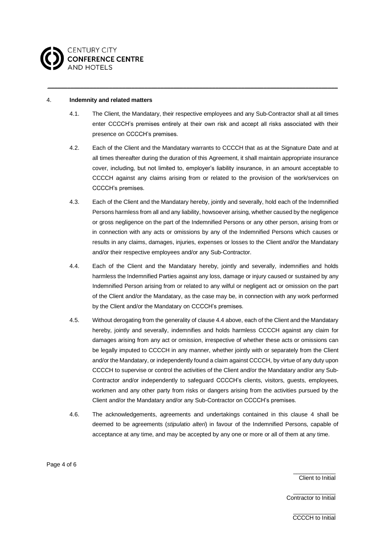

#### <span id="page-3-1"></span>4. **Indemnity and related matters**

4.1. The Client, the Mandatary, their respective employees and any Sub-Contractor shall at all times enter CCCCH's premises entirely at their own risk and accept all risks associated with their presence on CCCCH's premises.

\_\_\_\_\_\_\_\_\_\_\_\_\_\_\_\_\_\_\_\_\_\_\_\_\_\_\_\_\_\_\_\_\_\_\_\_\_\_\_\_\_\_\_\_\_\_\_\_\_\_\_\_\_\_\_\_\_\_\_\_\_\_\_\_\_\_\_\_\_\_\_\_\_\_\_\_\_\_\_\_\_\_\_\_\_\_\_\_\_\_

- 4.2. Each of the Client and the Mandatary warrants to CCCCH that as at the Signature Date and at all times thereafter during the duration of this Agreement, it shall maintain appropriate insurance cover, including, but not limited to, employer's liability insurance, in an amount acceptable to CCCCH against any claims arising from or related to the provision of the work/services on CCCCH's premises.
- 4.3. Each of the Client and the Mandatary hereby, jointly and severally, hold each of the Indemnified Persons harmless from all and any liability, howsoever arising, whether caused by the negligence or gross negligence on the part of the Indemnified Persons or any other person, arising from or in connection with any acts or omissions by any of the Indemnified Persons which causes or results in any claims, damages, injuries, expenses or losses to the Client and/or the Mandatary and/or their respective employees and/or any Sub-Contractor.
- <span id="page-3-0"></span>4.4. Each of the Client and the Mandatary hereby, jointly and severally, indemnifies and holds harmless the Indemnified Parties against any loss, damage or injury caused or sustained by any Indemnified Person arising from or related to any wilful or negligent act or omission on the part of the Client and/or the Mandatary, as the case may be, in connection with any work performed by the Client and/or the Mandatary on CCCCH's premises.
- 4.5. Without derogating from the generality of clause [4.4](#page-3-0) above, each of the Client and the Mandatary hereby, jointly and severally, indemnifies and holds harmless CCCCH against any claim for damages arising from any act or omission, irrespective of whether these acts or omissions can be legally imputed to CCCCH in any manner, whether jointly with or separately from the Client and/or the Mandatary, or independently found a claim against CCCCH, by virtue of any duty upon CCCCH to supervise or control the activities of the Client and/or the Mandatary and/or any Sub-Contractor and/or independently to safeguard CCCCH's clients, visitors, guests, employees, workmen and any other party from risks or dangers arising from the activities pursued by the Client and/or the Mandatary and/or any Sub-Contractor on CCCCH's premises.
- 4.6. The acknowledgements, agreements and undertakings contained in this clause [4](#page-3-1) shall be deemed to be agreements (*stipulatio alteri*) in favour of the Indemnified Persons, capable of acceptance at any time, and may be accepted by any one or more or all of them at any time.

Page 4 of 6

\_\_\_\_\_\_\_\_\_\_\_\_\_ Client to Initial

\_\_\_\_\_\_\_\_\_\_\_\_\_ Contractor to Initial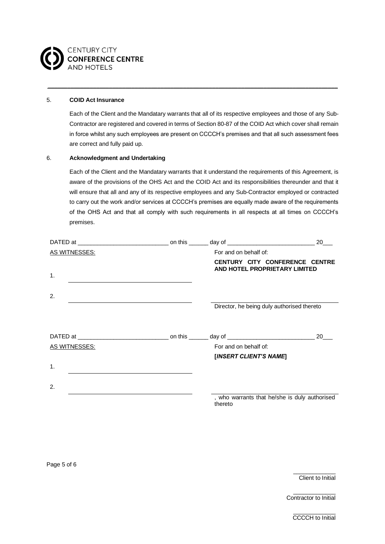

# 5. **COID Act Insurance**

Each of the Client and the Mandatary warrants that all of its respective employees and those of any Sub-Contractor are registered and covered in terms of Section 80-87 of the COID Act which cover shall remain in force whilst any such employees are present on CCCCH's premises and that all such assessment fees are correct and fully paid up.

\_\_\_\_\_\_\_\_\_\_\_\_\_\_\_\_\_\_\_\_\_\_\_\_\_\_\_\_\_\_\_\_\_\_\_\_\_\_\_\_\_\_\_\_\_\_\_\_\_\_\_\_\_\_\_\_\_\_\_\_\_\_\_\_\_\_\_\_\_\_\_\_\_\_\_\_\_\_\_\_\_\_\_\_\_\_\_\_\_\_

## 6. **Acknowledgment and Undertaking**

Each of the Client and the Mandatary warrants that it understand the requirements of this Agreement, is aware of the provisions of the OHS Act and the COID Act and its responsibilities thereunder and that it will ensure that all and any of its respective employees and any Sub-Contractor employed or contracted to carry out the work and/or services at CCCCH's premises are equally made aware of the requirements of the OHS Act and that all comply with such requirements in all respects at all times on CCCCH's premises.

| AS WITNESSES:  | For and on behalf of:                                    |  |
|----------------|----------------------------------------------------------|--|
|                | CENTURY CITY CONFERENCE CENTRE                           |  |
| $\mathbf{1}$ . | AND HOTEL PROPRIETARY LIMITED                            |  |
|                |                                                          |  |
| 2.             |                                                          |  |
|                | Director, he being duly authorised thereto               |  |
|                |                                                          |  |
| AS WITNESSES:  | For and on behalf of:                                    |  |
|                | [INSERT CLIENT'S NAME]                                   |  |
| 1.             |                                                          |  |
| 2.             |                                                          |  |
|                | , who warrants that he/she is duly authorised<br>thereto |  |

Page 5 of 6

\_\_\_\_\_\_\_\_\_\_\_\_\_ Client to Initial

\_\_\_\_\_\_\_\_\_\_\_\_\_ Contractor to Initial